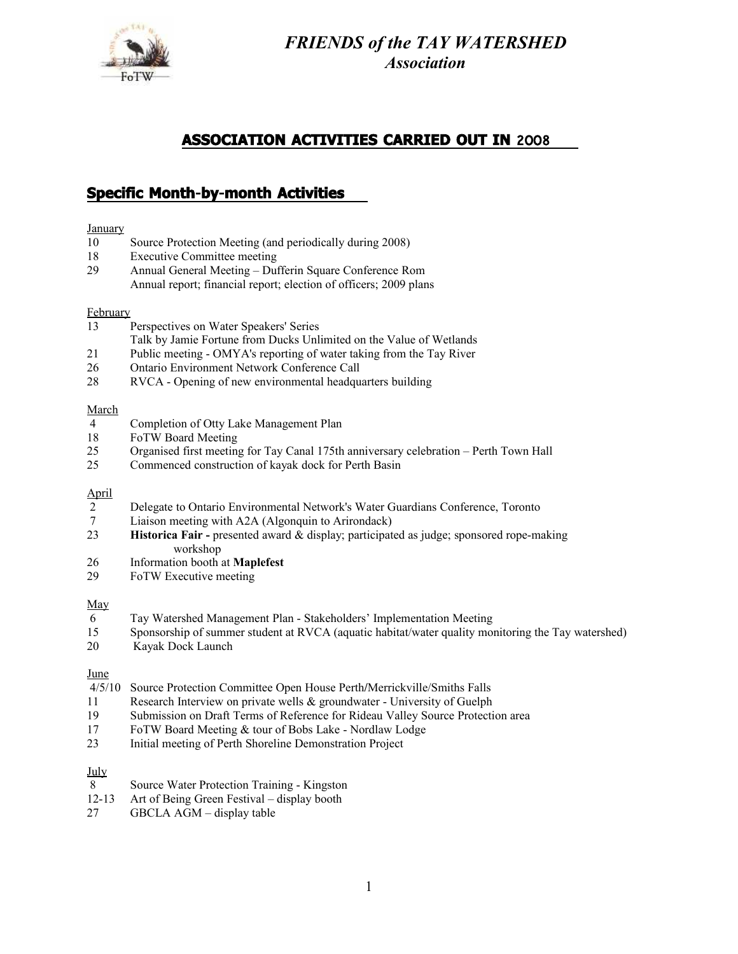

*FRIENDS of the TAY WATERSHED Association*

# **ASSOCIATION ACTIVITIES CARRIED OUT IN** 2008

# **Specific Month-by-month Activities**

## **January**

- 10 Source Protection Meeting (and periodically during 2008)
- 18 Executive Committee meeting
- 29 Annual General Meeting Dufferin Square Conference Rom Annual report; financial report; election of officers; 2009 plans

### **February**

- 13 Perspectives on Water Speakers' Series
- Talk by Jamie Fortune from Ducks Unlimited on the Value of Wetlands
- 21 Public meeting OMYA's reporting of water taking from the Tay River
- 26 Ontario Environment Network Conference Call
- 28 RVCA Opening of new environmental headquarters building

#### March

- 4 Completion of Otty Lake Management Plan
- 18 FoTW Board Meeting
- 25 Organised first meeting for Tay Canal 175th anniversary celebration Perth Town Hall<br>25 Commenced construction of kavak dock for Perth Basin
- Commenced construction of kayak dock for Perth Basin

# April

- 2 Delegate to Ontario Environmental Network's Water Guardians Conference, Toronto<br>7 Liaison meeting with A2A (Algonquin to Arirondack)
- Liaison meeting with A2A (Algonquin to Arirondack)
- 23 **Historica Fair** presented award & display; participated as judge; sponsored rope-making workshop
- 26 Information booth at **Maplefest**
- 29 FoTW Executive meeting

# May

- 6 Tay Watershed Management Plan Stakeholders' Implementation Meeting
- 15 Sponsorship of summer student at RVCA (aquatic habitat/water quality monitoring the Tay watershed)
- 20 Kayak Dock Launch

# June

- 4/5/10 Source Protection Committee Open House Perth**/**Merrickville/Smiths Falls
- 11 Research Interview on private wells & groundwater University of Guelph
- 19 Submission on Draft Terms of Reference for Rideau Valley Source Protection area
- 17 FoTW Board Meeting & tour of Bobs Lake Nordlaw Lodge<br>23 Initial meeting of Perth Shoreline Demonstration Project
- 23 Initial meeting of Perth Shoreline Demonstration Project

# July

- 8 Source Water Protection Training Kingston
- 12-13 Art of Being Green Festival display booth
- 27 GBCLA AGM display table